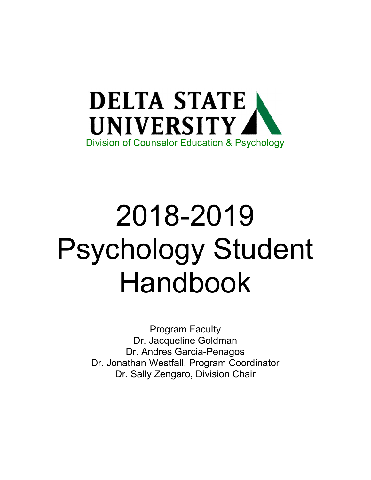

# 2018-2019 Psychology Student Handbook

Program Faculty Dr. Jacqueline Goldman Dr. Andres Garcia-Penagos Dr. Jonathan Westfall, Program Coordinator Dr. Sally Zengaro, Division Chair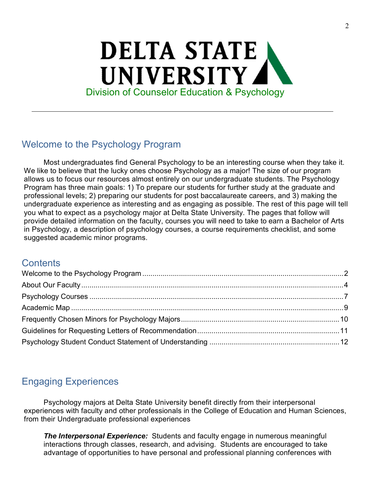## **DELTA STATE** UNIVERSITY Division of Counselor Education & Psychology

## Welcome to the Psychology Program

Most undergraduates find General Psychology to be an interesting course when they take it. We like to believe that the lucky ones choose Psychology as a major! The size of our program allows us to focus our resources almost entirely on our undergraduate students. The Psychology Program has three main goals: 1) To prepare our students for further study at the graduate and professional levels; 2) preparing our students for post baccalaureate careers, and 3) making the undergraduate experience as interesting and as engaging as possible. The rest of this page will tell you what to expect as a psychology major at Delta State University. The pages that follow will provide detailed information on the faculty, courses you will need to take to earn a Bachelor of Arts in Psychology, a description of psychology courses, a course requirements checklist, and some suggested academic minor programs.

#### **Contents**

## Engaging Experiences

Psychology majors at Delta State University benefit directly from their interpersonal experiences with faculty and other professionals in the College of Education and Human Sciences, from their Undergraduate professional experiences

**The Interpersonal Experience:** Students and faculty engage in numerous meaningful interactions through classes, research, and advising. Students are encouraged to take advantage of opportunities to have personal and professional planning conferences with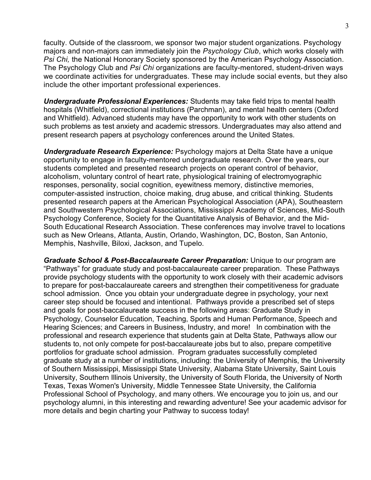faculty. Outside of the classroom, we sponsor two major student organizations. Psychology majors and non-majors can immediately join the Psychology Club, which works closely with Psi Chi, the National Honorary Society sponsored by the American Psychology Association. The Psychology Club and Psi Chi organizations are faculty-mentored, student-driven ways we coordinate activities for undergraduates. These may include social events, but they also include the other important professional experiences.

Undergraduate Professional Experiences: Students may take field trips to mental health hospitals (Whitfield), correctional institutions (Parchman), and mental health centers (Oxford and Whitfield). Advanced students may have the opportunity to work with other students on such problems as test anxiety and academic stressors. Undergraduates may also attend and present research papers at psychology conferences around the United States.

Undergraduate Research Experience: Psychology majors at Delta State have a unique opportunity to engage in faculty-mentored undergraduate research. Over the years, our students completed and presented research projects on operant control of behavior, alcoholism, voluntary control of heart rate, physiological training of electromyographic responses, personality, social cognition, eyewitness memory, distinctive memories, computer-assisted instruction, choice making, drug abuse, and critical thinking. Students presented research papers at the American Psychological Association (APA), Southeastern and Southwestern Psychological Associations, Mississippi Academy of Sciences, Mid-South Psychology Conference, Society for the Quantitative Analysis of Behavior, and the Mid-South Educational Research Association. These conferences may involve travel to locations such as New Orleans, Atlanta, Austin, Orlando, Washington, DC, Boston, San Antonio, Memphis, Nashville, Biloxi, Jackson, and Tupelo.

Graduate School & Post-Baccalaureate Career Preparation: Unique to our program are "Pathways" for graduate study and post-baccalaureate career preparation. These Pathways provide psychology students with the opportunity to work closely with their academic advisors to prepare for post-baccalaureate careers and strengthen their competitiveness for graduate school admission. Once you obtain your undergraduate degree in psychology, your next career step should be focused and intentional. Pathways provide a prescribed set of steps and goals for post-baccalaureate success in the following areas: Graduate Study in Psychology, Counselor Education, Teaching, Sports and Human Performance, Speech and Hearing Sciences; and Careers in Business, Industry, and more! In combination with the professional and research experience that students gain at Delta State, Pathways allow our students to, not only compete for post-baccalaureate jobs but to also, prepare competitive portfolios for graduate school admission. Program graduates successfully completed graduate study at a number of institutions, including: the University of Memphis, the University of Southern Mississippi, Mississippi State University, Alabama State University, Saint Louis University, Southern Illinois University, the University of South Florida, the University of North Texas, Texas Women's University, Middle Tennessee State University, the California Professional School of Psychology, and many others. We encourage you to join us, and our psychology alumni, in this interesting and rewarding adventure! See your academic advisor for more details and begin charting your Pathway to success today!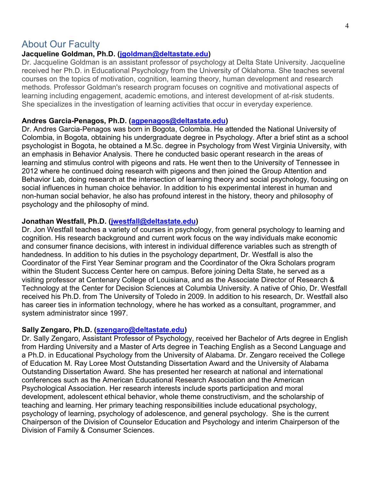#### About Our Faculty

#### Jacqueline Goldman, Ph.D. (jgoldman@deltastate.edu)

Dr. Jacqueline Goldman is an assistant professor of psychology at Delta State University. Jacqueline received her Ph.D. in Educational Psychology from the University of Oklahoma. She teaches several courses on the topics of motivation, cognition, learning theory, human development and research methods. Professor Goldman's research program focuses on cognitive and motivational aspects of learning including engagement, academic emotions, and interest development of at-risk students. She specializes in the investigation of learning activities that occur in everyday experience.

#### Andres Garcia-Penagos, Ph.D. (agpenagos@deltastate.edu)

Dr. Andres Garcia-Penagos was born in Bogota, Colombia. He attended the National University of Colombia, in Bogota, obtaining his undergraduate degree in Psychology. After a brief stint as a school psychologist in Bogota, he obtained a M.Sc. degree in Psychology from West Virginia University, with an emphasis in Behavior Analysis. There he conducted basic operant research in the areas of learning and stimulus control with pigeons and rats. He went then to the University of Tennessee in 2012 where he continued doing research with pigeons and then joined the Group Attention and Behavior Lab, doing research at the intersection of learning theory and social psychology, focusing on social influences in human choice behavior. In addition to his experimental interest in human and non-human social behavior, he also has profound interest in the history, theory and philosophy of psychology and the philosophy of mind.

#### Jonathan Westfall, Ph.D. (*jwestfall@deltastate.edu*)

Dr. Jon Westfall teaches a variety of courses in psychology, from general psychology to learning and cognition. His research background and current work focus on the way individuals make economic and consumer finance decisions, with interest in individual difference variables such as strength of handedness. In addition to his duties in the psychology department, Dr. Westfall is also the Coordinator of the First Year Seminar program and the Coordinator of the Okra Scholars program within the Student Success Center here on campus. Before joining Delta State, he served as a visiting professor at Centenary College of Louisiana, and as the Associate Director of Research & Technology at the Center for Decision Sciences at Columbia University. A native of Ohio, Dr. Westfall received his Ph.D. from The University of Toledo in 2009. In addition to his research, Dr. Westfall also has career ties in information technology, where he has worked as a consultant, programmer, and system administrator since 1997.

#### Sally Zengaro, Ph.D. (szengaro@deltastate.edu)

Dr. Sally Zengaro, Assistant Professor of Psychology, received her Bachelor of Arts degree in English from Harding University and a Master of Arts degree in Teaching English as a Second Language and a Ph.D. in Educational Psychology from the University of Alabama. Dr. Zengaro received the College of Education M. Ray Loree Most Outstanding Dissertation Award and the University of Alabama Outstanding Dissertation Award. She has presented her research at national and international conferences such as the American Educational Research Association and the American Psychological Association. Her research interests include sports participation and moral development, adolescent ethical behavior, whole theme constructivism, and the scholarship of teaching and learning. Her primary teaching responsibilities include educational psychology, psychology of learning, psychology of adolescence, and general psychology. She is the current Chairperson of the Division of Counselor Education and Psychology and interim Chairperson of the Division of Family & Consumer Sciences.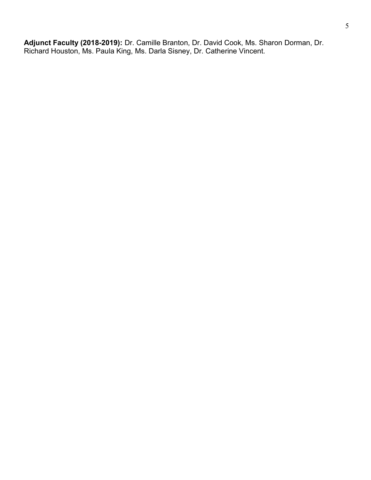Adjunct Faculty (2018-2019): Dr. Camille Branton, Dr. David Cook, Ms. Sharon Dorman, Dr. Richard Houston, Ms. Paula King, Ms. Darla Sisney, Dr. Catherine Vincent.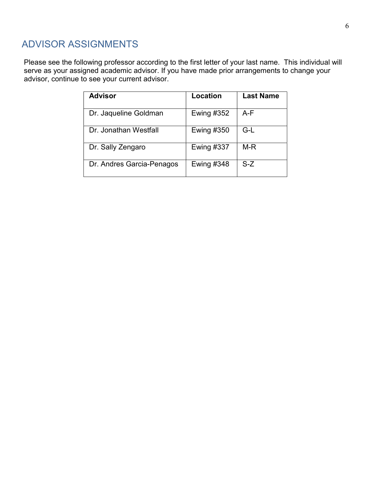## ADVISOR ASSIGNMENTS

Please see the following professor according to the first letter of your last name. This individual will serve as your assigned academic advisor. If you have made prior arrangements to change your advisor, continue to see your current advisor.

| <b>Advisor</b>            | Location          | <b>Last Name</b> |
|---------------------------|-------------------|------------------|
| Dr. Jaqueline Goldman     | <b>Ewing #352</b> | A-F              |
| Dr. Jonathan Westfall     | <b>Ewing #350</b> | G-L              |
| Dr. Sally Zengaro         | <b>Ewing #337</b> | $M-R$            |
| Dr. Andres Garcia-Penagos | <b>Ewing #348</b> | $S-Z$            |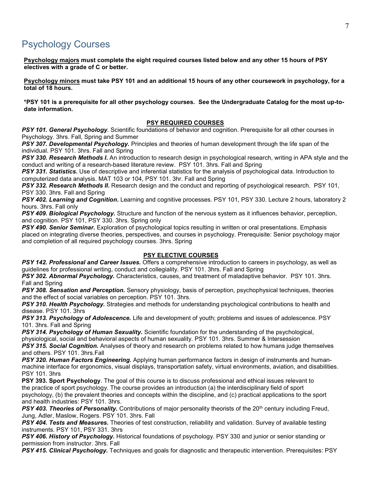#### Psychology Courses

Psychology majors must complete the eight required courses listed below and any other 15 hours of PSY electives with a grade of C or better.

Psychology minors must take PSY 101 and an additional 15 hours of any other coursework in psychology, for a total of 18 hours.

\*PSY 101 is a prerequisite for all other psychology courses. See the Undergraduate Catalog for the most up-todate information.

#### PSY REQUIRED COURSES

PSY 101. General Psychology. Scientific foundations of behavior and cognition. Prerequisite for all other courses in Psychology. 3hrs. Fall, Spring and Summer

PSY 307. Developmental Psychology. Principles and theories of human development through the life span of the individual. PSY 101. 3hrs. Fall and Spring

PSY 330. Research Methods I. An introduction to research design in psychological research, writing in APA style and the conduct and writing of a research-based literature review. PSY 101. 3hrs. Fall and Spring

PSY 331. Statistics. Use of descriptive and inferential statistics for the analysis of psychological data. Introduction to computerized data analysis. MAT 103 or 104, PSY 101. 3hr. Fall and Spring

PSY 332. Research Methods II. Research design and the conduct and reporting of psychological research. PSY 101, PSY 330. 3hrs. Fall and Spring

PSY 402. Learning and Cognition. Learning and cognitive processes. PSY 101, PSY 330. Lecture 2 hours, laboratory 2 hours. 3hrs. Fall only

PSY 409. Biological Psychology. Structure and function of the nervous system as it influences behavior, perception, and cognition. PSY 101, PSY 330. 3hrs. Spring only

PSY 490. Senior Seminar. Exploration of psychological topics resulting in written or oral presentations. Emphasis placed on integrating diverse theories, perspectives, and courses in psychology. Prerequisite: Senior psychology major and completion of all required psychology courses. 3hrs. Spring

#### PSY ELECTIVE COURSES

PSY 142. Professional and Career Issues. Offers a comprehensive introduction to careers in psychology, as well as guidelines for professional writing, conduct and collegiality. PSY 101. 3hrs. Fall and Spring

PSY 302. Abnormal Psychology. Characteristics, causes, and treatment of maladaptive behavior. PSY 101. 3hrs. Fall and Spring

PSY 308. Sensation and Perception. Sensory physiology, basis of perception, psychophysical techniques, theories and the effect of social variables on perception. PSY 101. 3hrs.

PSY 310. Health Psychology. Strategies and methods for understanding psychological contributions to health and disease. PSY 101. 3hrs

PSY 313. Psychology of Adolescence. Life and development of youth; problems and issues of adolescence. PSY 101. 3hrs. Fall and Spring

PSY 314. Psychology of Human Sexuality. Scientific foundation for the understanding of the psychological, physiological, social and behavioral aspects of human sexuality. PSY 101. 3hrs. Summer & Intersession

PSY 315. Social Cognition. Analyses of theory and research on problems related to how humans judge themselves and others. PSY 101. 3hrs.Fall

PSY 320. Human Factors Engineering. Applying human performance factors in design of instruments and humanmachine interface for ergonomics, visual displays, transportation safety, virtual environments, aviation, and disabilities. PSY 101. 3hrs

PSY 393. Sport Psychology. The goal of this course is to discuss professional and ethical issues relevant to the practice of sport psychology. The course provides an introduction (a) the interdisciplinary field of sport psychology, (b) the prevalent theories and concepts within the discipline, and (c) practical applications to the sport and health industries: PSY 101. 3hrs.

PSY 403. Theories of Personality. Contributions of major personality theorists of the 20<sup>th</sup> century including Freud, Jung, Adler, Maslow, Rogers. PSY 101. 3hrs. Fall

PSY 404. Tests and Measures. Theories of test construction, reliability and validation. Survey of available testing instruments. PSY 101, PSY 331. 3hrs

PSY 406. History of Psychology. Historical foundations of psychology. PSY 330 and junior or senior standing or permission from instructor. 3hrs. Fall

PSY 415. Clinical Psychology. Techniques and goals for diagnostic and therapeutic intervention. Prerequisites: PSY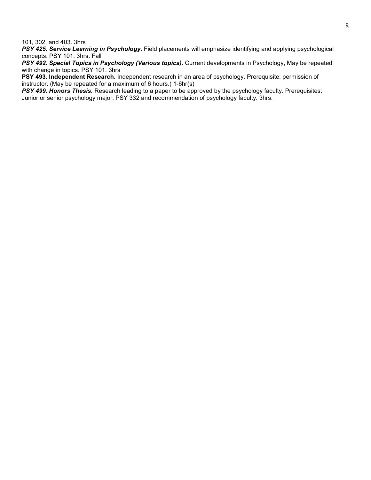101, 302, and 403. 3hrs

PSY 425. Service Learning in Psychology. Field placements will emphasize identifying and applying psychological concepts. PSY 101. 3hrs. Fall

PSY 492. Special Topics in Psychology (Various topics). Current developments in Psychology, May be repeated with change in topics. PSY 101. 3hrs

PSY 493. Independent Research. Independent research in an area of psychology. Prerequisite: permission of instructor. (May be repeated for a maximum of 6 hours.) 1-6hr(s)

PSY 499. Honors Thesis. Research leading to a paper to be approved by the psychology faculty. Prerequisites: Junior or senior psychology major, PSY 332 and recommendation of psychology faculty. 3hrs.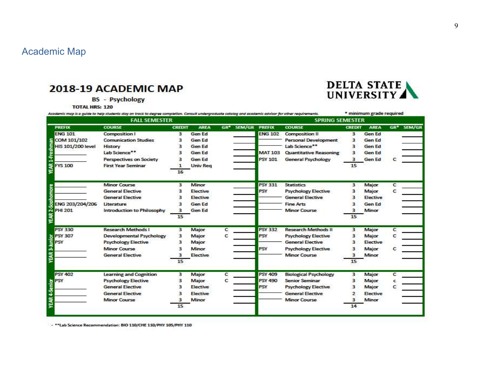## Academic Map

#### 2018-19 ACADEMIC MAP

**BS** - Psychology

**TOTAL HRS: 120** 

| Academic map is a quide to help students stay on track to degree completion. Consult undergraduate catalog and academic advisor for other requirements.                                                                                 |                                   |               |                 |   |                               |                        | * minimum grade required      |               |               |   |                        |  |
|-----------------------------------------------------------------------------------------------------------------------------------------------------------------------------------------------------------------------------------------|-----------------------------------|---------------|-----------------|---|-------------------------------|------------------------|-------------------------------|---------------|---------------|---|------------------------|--|
| <b>FALL SEMESTER</b>                                                                                                                                                                                                                    |                                   |               |                 |   |                               | <b>SPRING SEMESTER</b> |                               |               |               |   |                        |  |
| <b>PREFIX</b>                                                                                                                                                                                                                           | <b>COURSE</b>                     | <b>CREDIT</b> | <b>AREA</b>     |   | GR <sup>*</sup> SEM/GR PREFIX |                        | <b>COURSE</b>                 | <b>CREDIT</b> | <b>AREA</b>   |   | GR <sup>*</sup> SEM/GR |  |
| <b>ENG 101</b>                                                                                                                                                                                                                          | <b>Composition I</b>              | 3             | Gen Ed          |   |                               | <b>ENG 102</b>         | <b>Composition II</b>         | з             | Gen Ed        |   |                        |  |
| COM 101/102                                                                                                                                                                                                                             | <b>Comunication Studies</b>       | з             | Gen Ed          |   |                               |                        | <b>Personal Development</b>   | з             | <b>Gen Ed</b> |   |                        |  |
| <b>HIS 101/200 level</b>                                                                                                                                                                                                                | History                           |               | Gen Ed          |   |                               |                        | Lab Science**                 | ₹             | Gen Ed        |   |                        |  |
|                                                                                                                                                                                                                                         | Lab Science**                     |               | Gen Ed          |   |                               | <b>MAT 103</b>         | <b>Quantitative Reasoning</b> | в             | Gen Ed        |   |                        |  |
|                                                                                                                                                                                                                                         | Perspectives on Society           |               | Gen Ed          |   |                               | <b>PSY 101</b>         | <b>General Psychology</b>     | з             | Gen Ed        |   |                        |  |
| ã<br><b>FYS 100</b>                                                                                                                                                                                                                     | <b>First Year Seminar</b>         |               | <b>Univ Reg</b> |   |                               |                        |                               | 15            |               |   |                        |  |
|                                                                                                                                                                                                                                         |                                   | 16            |                 |   |                               |                        |                               |               |               |   |                        |  |
|                                                                                                                                                                                                                                         | <b>Minor Course</b>               | 3             | <b>Minor</b>    |   |                               | <b>PSY 331</b>         | <b>Statistics</b>             | 3             | Major         | c |                        |  |
|                                                                                                                                                                                                                                         | <b>General Elective</b>           |               | <b>Elective</b> |   |                               | <b>PSY</b>             | <b>Psychology Elective</b>    | з             | Major         | с |                        |  |
|                                                                                                                                                                                                                                         | <b>General Elective</b>           | з             | Elective        |   |                               |                        | <b>General Elective</b>       | з             | Elective      |   |                        |  |
| $2.5$ op<br>ENG 203/204/206                                                                                                                                                                                                             | Literature                        | з             | Gen Ed          |   |                               |                        | <b>Fine Arts</b>              | ₹             | Gen Ed        |   |                        |  |
| <b>PHI 201</b>                                                                                                                                                                                                                          | <b>Introduction to Philosophy</b> | з             | <b>Gen Ed</b>   |   |                               |                        | <b>Minor Course</b>           | з             | Minor         |   |                        |  |
| <b>YE AR</b>                                                                                                                                                                                                                            |                                   | 15            |                 |   |                               |                        |                               | 15            |               |   |                        |  |
| <b>PSY 330</b>                                                                                                                                                                                                                          | <b>Research Methods I</b>         | з             | Major           | c |                               | <b>PSY 332</b>         | <b>Research Methods II</b>    | з             | Major         | c |                        |  |
| b PSY 307<br>E PSY<br>The Management of the Second<br>The Management of the Second Second Second Second Second Second Second Second Second Second Second Second Second Second Second Second Second Second Second Second Second Second S | <b>Developmental Psychology</b>   | з             | Major           | с |                               | <b>PSY</b>             | <b>Psychology Elective</b>    | з             | Major         | с |                        |  |
|                                                                                                                                                                                                                                         | <b>Psychology Elective</b>        | з             | Major           |   |                               |                        | <b>General Elective</b>       | ٦             | Elective      |   |                        |  |
|                                                                                                                                                                                                                                         | <b>Minor Course</b>               |               | Minor           |   |                               | <b>PSY</b>             | <b>Psychology Elective</b>    |               | Major         |   |                        |  |
| YEAR                                                                                                                                                                                                                                    | <b>General Elective</b>           | з             | Elective        |   |                               |                        | <b>Minor Course</b>           | з             | Minor         |   |                        |  |
|                                                                                                                                                                                                                                         |                                   | 15            |                 |   |                               |                        |                               | 15            |               |   |                        |  |
| <b>PSY 402</b>                                                                                                                                                                                                                          | Learning and Cognition            | з             | Major           | с |                               | <b>PSY 409</b>         | <b>Biological Psychology</b>  | з             | Major         | c |                        |  |
| PSY                                                                                                                                                                                                                                     | <b>Psychology Elective</b>        | з             | Major           | c |                               | <b>PSY 490</b>         | <b>Senior Seminar</b>         | з             | Major         |   |                        |  |
|                                                                                                                                                                                                                                         | <b>General Elective</b>           | з             | Elective        |   |                               | <b>PSY</b>             | <b>Psychology Elective</b>    | з             | Major         |   |                        |  |
|                                                                                                                                                                                                                                         | <b>General Elective</b>           |               | Elective        |   |                               |                        | <b>General Elective</b>       |               | Elective      |   |                        |  |
| YEAR 4-Senior                                                                                                                                                                                                                           | <b>Minor Course</b>               |               | Minor           |   |                               |                        | <b>Minor Course</b>           |               | Minor         |   |                        |  |
|                                                                                                                                                                                                                                         |                                   | 15            |                 |   |                               |                        |                               | 14            |               |   |                        |  |

- \*\* Lab Science Recommendation: BIO 110/CHE 110/PHY 105/PHY 110

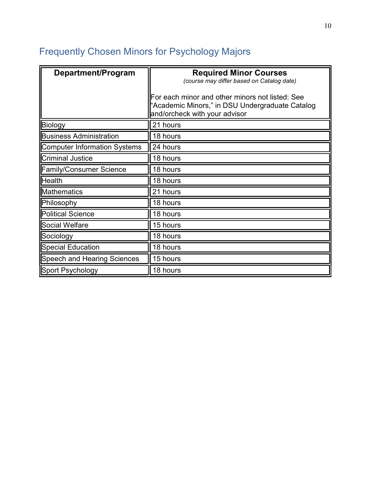## Frequently Chosen Minors for Psychology Majors

| Department/Program                  | <b>Required Minor Courses</b><br>(course may differ based on Catalog date)                                                          |
|-------------------------------------|-------------------------------------------------------------------------------------------------------------------------------------|
|                                     | For each minor and other minors not listed: See<br>"Academic Minors," in DSU Undergraduate Catalog<br>and/orcheck with your advisor |
| Biology                             | 21 hours                                                                                                                            |
| <b>Business Administration</b>      | 18 hours                                                                                                                            |
| <b>Computer Information Systems</b> | 24 hours                                                                                                                            |
| <b>Criminal Justice</b>             | 18 hours                                                                                                                            |
| <b>Family/Consumer Science</b>      | 18 hours                                                                                                                            |
| <b>Health</b>                       | 18 hours                                                                                                                            |
| <b>Mathematics</b>                  | 21 hours                                                                                                                            |
| Philosophy                          | 18 hours                                                                                                                            |
| <b>Political Science</b>            | 18 hours                                                                                                                            |
| Social Welfare                      | 15 hours                                                                                                                            |
| Sociology                           | 18 hours                                                                                                                            |
| <b>Special Education</b>            | 18 hours                                                                                                                            |
| Speech and Hearing Sciences         | 15 hours                                                                                                                            |
| Sport Psychology                    | 18 hours                                                                                                                            |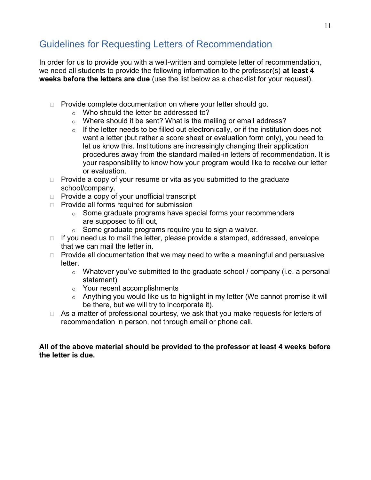## Guidelines for Requesting Letters of Recommendation

In order for us to provide you with a well-written and complete letter of recommendation, we need all students to provide the following information to the professor(s) at least 4 weeks before the letters are due (use the list below as a checklist for your request).

- $\Box$  Provide complete documentation on where your letter should go.
	- o Who should the letter be addressed to?
	- o Where should it be sent? What is the mailing or email address?
	- $\circ$  If the letter needs to be filled out electronically, or if the institution does not want a letter (but rather a score sheet or evaluation form only), you need to let us know this. Institutions are increasingly changing their application procedures away from the standard mailed-in letters of recommendation. It is your responsibility to know how your program would like to receive our letter or evaluation.
- $\Box$  Provide a copy of your resume or vita as you submitted to the graduate school/company.
- $\Box$  Provide a copy of your unofficial transcript
- $\Box$  Provide all forms required for submission
	- o Some graduate programs have special forms your recommenders are supposed to fill out,
	- $\circ$  Some graduate programs require you to sign a waiver.
- $\Box$  If you need us to mail the letter, please provide a stamped, addressed, envelope that we can mail the letter in.
- $\Box$  Provide all documentation that we may need to write a meaningful and persuasive letter.
	- $\circ$  Whatever you've submitted to the graduate school / company (i.e. a personal statement)
	- o Your recent accomplishments
	- o Anything you would like us to highlight in my letter (We cannot promise it will be there, but we will try to incorporate it).
- $\Box$  As a matter of professional courtesy, we ask that you make requests for letters of recommendation in person, not through email or phone call.

#### All of the above material should be provided to the professor at least 4 weeks before the letter is due.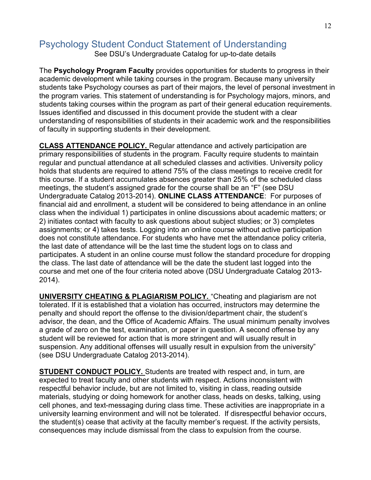## Psychology Student Conduct Statement of Understanding

See DSU's Undergraduate Catalog for up-to-date details

The Psychology Program Faculty provides opportunities for students to progress in their academic development while taking courses in the program. Because many university students take Psychology courses as part of their majors, the level of personal investment in the program varies. This statement of understanding is for Psychology majors, minors, and students taking courses within the program as part of their general education requirements. Issues identified and discussed in this document provide the student with a clear understanding of responsibilities of students in their academic work and the responsibilities of faculty in supporting students in their development.

CLASS ATTENDANCE POLICY. Regular attendance and actively participation are primary responsibilities of students in the program. Faculty require students to maintain regular and punctual attendance at all scheduled classes and activities. University policy holds that students are required to attend 75% of the class meetings to receive credit for this course. If a student accumulates absences greater than 25% of the scheduled class meetings, the student's assigned grade for the course shall be an "F" (see DSU Undergraduate Catalog 2013-2014). ONLINE CLASS ATTENDANCE: For purposes of financial aid and enrollment, a student will be considered to being attendance in an online class when the individual 1) participates in online discussions about academic matters; or 2) initiates contact with faculty to ask questions about subject studies; or 3) completes assignments; or 4) takes tests. Logging into an online course without active participation does not constitute attendance. For students who have met the attendance policy criteria, the last date of attendance will be the last time the student logs on to class and participates. A student in an online course must follow the standard procedure for dropping the class. The last date of attendance will be the date the student last logged into the course and met one of the four criteria noted above (DSU Undergraduate Catalog 2013- 2014).

UNIVERSITY CHEATING & PLAGIARISM POLICY. "Cheating and plagiarism are not tolerated. If it is established that a violation has occurred, instructors may determine the penalty and should report the offense to the division/department chair, the student's advisor, the dean, and the Office of Academic Affairs. The usual minimum penalty involves a grade of zero on the test, examination, or paper in question. A second offense by any student will be reviewed for action that is more stringent and will usually result in suspension. Any additional offenses will usually result in expulsion from the university" (see DSU Undergraduate Catalog 2013-2014).

STUDENT CONDUCT POLICY. Students are treated with respect and, in turn, are expected to treat faculty and other students with respect. Actions inconsistent with respectful behavior include, but are not limited to, visiting in class, reading outside materials, studying or doing homework for another class, heads on desks, talking, using cell phones, and text-messaging during class time. These activities are inappropriate in a university learning environment and will not be tolerated. If disrespectful behavior occurs, the student(s) cease that activity at the faculty member's request. If the activity persists, consequences may include dismissal from the class to expulsion from the course.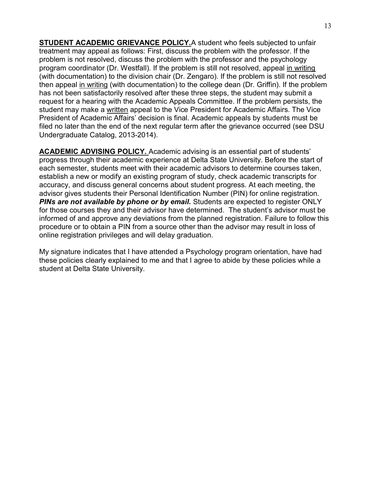STUDENT ACADEMIC GRIEVANCE POLICY.A student who feels subjected to unfair treatment may appeal as follows: First, discuss the problem with the professor. If the problem is not resolved, discuss the problem with the professor and the psychology program coordinator (Dr. Westfall). If the problem is still not resolved, appeal in writing (with documentation) to the division chair (Dr. Zengaro). If the problem is still not resolved then appeal in writing (with documentation) to the college dean (Dr. Griffin). If the problem has not been satisfactorily resolved after these three steps, the student may submit a request for a hearing with the Academic Appeals Committee. If the problem persists, the student may make a written appeal to the Vice President for Academic Affairs. The Vice President of Academic Affairs' decision is final. Academic appeals by students must be filed no later than the end of the next regular term after the grievance occurred (see DSU Undergraduate Catalog, 2013-2014).

ACADEMIC ADVISING POLICY. Academic advising is an essential part of students' progress through their academic experience at Delta State University. Before the start of each semester, students meet with their academic advisors to determine courses taken, establish a new or modify an existing program of study, check academic transcripts for accuracy, and discuss general concerns about student progress. At each meeting, the advisor gives students their Personal Identification Number (PIN) for online registration. PINs are not available by phone or by email. Students are expected to register ONLY for those courses they and their advisor have determined. The student's advisor must be informed of and approve any deviations from the planned registration. Failure to follow this procedure or to obtain a PIN from a source other than the advisor may result in loss of online registration privileges and will delay graduation.

My signature indicates that I have attended a Psychology program orientation, have had these policies clearly explained to me and that I agree to abide by these policies while a student at Delta State University.